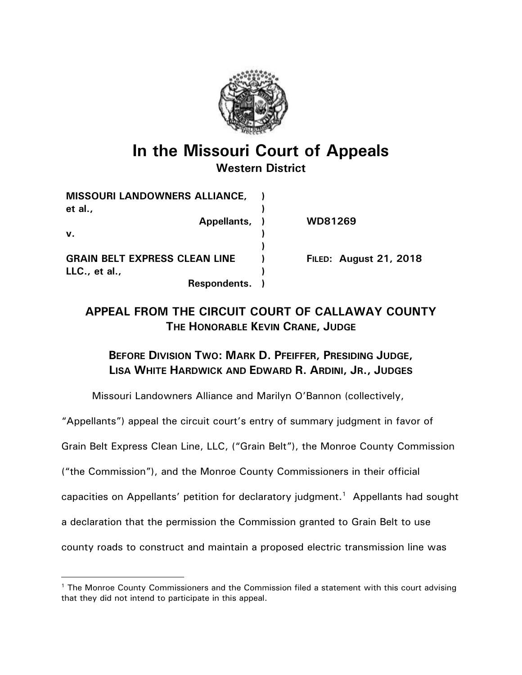

# *In the Missouri Court of Appeals Western District*

| <b>MISSOURI LANDOWNERS ALLIANCE,</b> |                               |
|--------------------------------------|-------------------------------|
| et al.,                              |                               |
| Appellants, )                        | WD81269                       |
| v.                                   |                               |
|                                      |                               |
| <b>GRAIN BELT EXPRESS CLEAN LINE</b> | <b>FILED: August 21, 2018</b> |
| LLC., et al.,                        |                               |
| Respondents.                         |                               |

## *APPEAL FROM THE CIRCUIT COURT OF CALLAWAY COUNTY THE HONORABLE KEVIN CRANE, JUDGE*

### *BEFORE DIVISION TWO: MARK D. PFEIFFER, PRESIDING JUDGE, LISA WHITE HARDWICK AND EDWARD R. ARDINI, JR., JUDGES*

Missouri Landowners Alliance and Marilyn O'Bannon (collectively,

"Appellants") appeal the circuit court's entry of summary judgment in favor of

Grain Belt Express Clean Line, LLC, ("Grain Belt"), the Monroe County Commission

("the Commission"), and the Monroe County Commissioners in their official

capacities on Appellants' petition for declaratory judgment.<sup>1</sup> Appellants had sought

a declaration that the permission the Commission granted to Grain Belt to use

 $\overline{a}$ 

county roads to construct and maintain a proposed electric transmission line was

<sup>&</sup>lt;sup>1</sup> The Monroe County Commissioners and the Commission filed a statement with this court advising that they did not intend to participate in this appeal.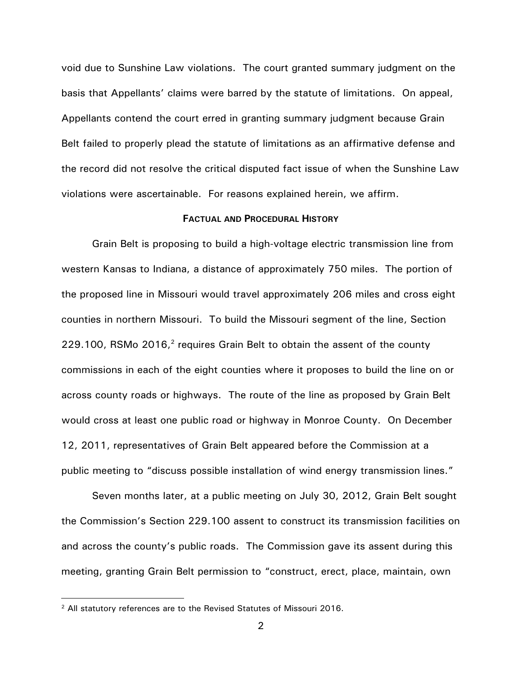void due to Sunshine Law violations. The court granted summary judgment on the basis that Appellants' claims were barred by the statute of limitations. On appeal, Appellants contend the court erred in granting summary judgment because Grain Belt failed to properly plead the statute of limitations as an affirmative defense and the record did not resolve the critical disputed fact issue of when the Sunshine Law violations were ascertainable. For reasons explained herein, we affirm.

#### *FACTUAL AND PROCEDURAL HISTORY*

Grain Belt is proposing to build a high-voltage electric transmission line from western Kansas to Indiana, a distance of approximately 750 miles. The portion of the proposed line in Missouri would travel approximately 206 miles and cross eight counties in northern Missouri. To build the Missouri segment of the line, Section 229.100, RSMo  $2016<sup>2</sup>$  requires Grain Belt to obtain the assent of the county commissions in each of the eight counties where it proposes to build the line on or across county roads or highways. The route of the line as proposed by Grain Belt would cross at least one public road or highway in Monroe County. On December 12, 2011, representatives of Grain Belt appeared before the Commission at a public meeting to "discuss possible installation of wind energy transmission lines."

Seven months later, at a public meeting on July 30, 2012, Grain Belt sought the Commission's Section 229.100 assent to construct its transmission facilities on and across the county's public roads. The Commission gave its assent during this meeting, granting Grain Belt permission to "construct, erect, place, maintain, own

<sup>2</sup> All statutory references are to the Revised Statutes of Missouri 2016.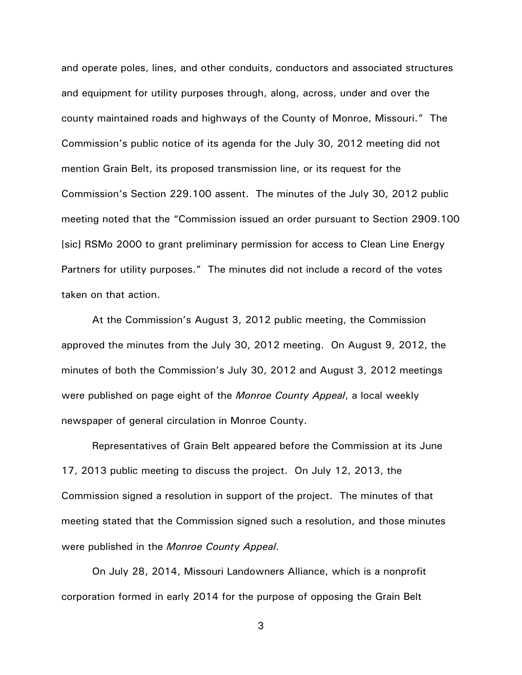and operate poles, lines, and other conduits, conductors and associated structures and equipment for utility purposes through, along, across, under and over the county maintained roads and highways of the County of Monroe, Missouri." The Commission's public notice of its agenda for the July 30, 2012 meeting did not mention Grain Belt, its proposed transmission line, or its request for the Commission's Section 229.100 assent. The minutes of the July 30, 2012 public meeting noted that the "Commission issued an order pursuant to Section 2909.100 [sic] RSMo 2000 to grant preliminary permission for access to Clean Line Energy Partners for utility purposes." The minutes did not include a record of the votes taken on that action.

At the Commission's August 3, 2012 public meeting, the Commission approved the minutes from the July 30, 2012 meeting. On August 9, 2012, the minutes of both the Commission's July 30, 2012 and August 3, 2012 meetings were published on page eight of the *Monroe County Appeal*, a local weekly newspaper of general circulation in Monroe County.

Representatives of Grain Belt appeared before the Commission at its June 17, 2013 public meeting to discuss the project. On July 12, 2013, the Commission signed a resolution in support of the project. The minutes of that meeting stated that the Commission signed such a resolution, and those minutes were published in the *Monroe County Appeal*.

On July 28, 2014, Missouri Landowners Alliance, which is a nonprofit corporation formed in early 2014 for the purpose of opposing the Grain Belt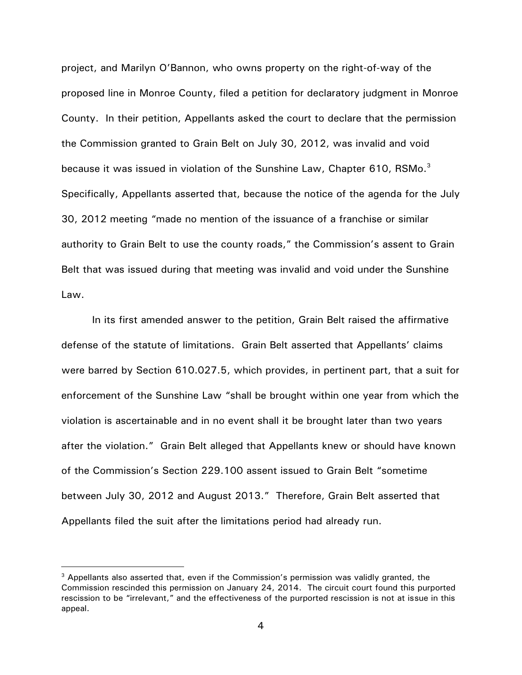project, and Marilyn O'Bannon, who owns property on the right-of-way of the proposed line in Monroe County, filed a petition for declaratory judgment in Monroe County. In their petition, Appellants asked the court to declare that the permission the Commission granted to Grain Belt on July 30, 2012, was invalid and void because it was issued in violation of the Sunshine Law, Chapter 610, RSMo. $^3$ Specifically, Appellants asserted that, because the notice of the agenda for the July 30, 2012 meeting "made no mention of the issuance of a franchise or similar authority to Grain Belt to use the county roads," the Commission's assent to Grain Belt that was issued during that meeting was invalid and void under the Sunshine Law.

In its first amended answer to the petition, Grain Belt raised the affirmative defense of the statute of limitations. Grain Belt asserted that Appellants' claims were barred by Section 610.027.5, which provides, in pertinent part, that a suit for enforcement of the Sunshine Law "shall be brought within one year from which the violation is ascertainable and in no event shall it be brought later than two years after the violation." Grain Belt alleged that Appellants knew or should have known of the Commission's Section 229.100 assent issued to Grain Belt "sometime between July 30, 2012 and August 2013." Therefore, Grain Belt asserted that Appellants filed the suit after the limitations period had already run.

 $3$  Appellants also asserted that, even if the Commission's permission was validly granted, the Commission rescinded this permission on January 24, 2014. The circuit court found this purported rescission to be "irrelevant," and the effectiveness of the purported rescission is not at issue in this appeal.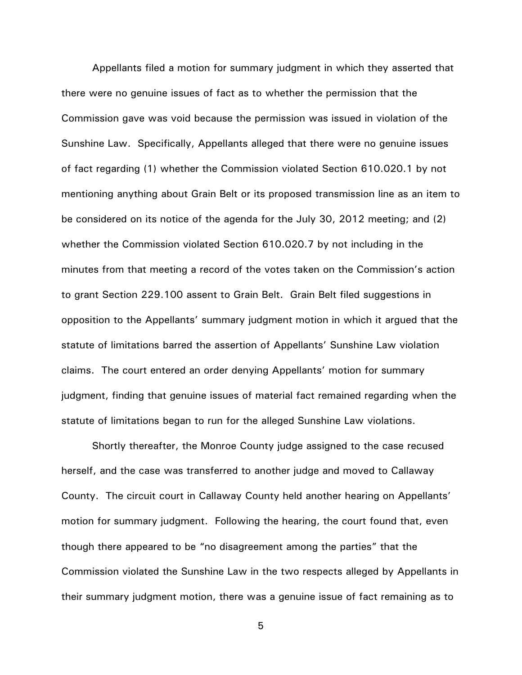Appellants filed a motion for summary judgment in which they asserted that there were no genuine issues of fact as to whether the permission that the Commission gave was void because the permission was issued in violation of the Sunshine Law. Specifically, Appellants alleged that there were no genuine issues of fact regarding (1) whether the Commission violated Section 610.020.1 by not mentioning anything about Grain Belt or its proposed transmission line as an item to be considered on its notice of the agenda for the July 30, 2012 meeting; and (2) whether the Commission violated Section 610.020.7 by not including in the minutes from that meeting a record of the votes taken on the Commission's action to grant Section 229.100 assent to Grain Belt. Grain Belt filed suggestions in opposition to the Appellants' summary judgment motion in which it argued that the statute of limitations barred the assertion of Appellants' Sunshine Law violation claims. The court entered an order denying Appellants' motion for summary judgment, finding that genuine issues of material fact remained regarding when the statute of limitations began to run for the alleged Sunshine Law violations.

Shortly thereafter, the Monroe County judge assigned to the case recused herself, and the case was transferred to another judge and moved to Callaway County. The circuit court in Callaway County held another hearing on Appellants' motion for summary judgment. Following the hearing, the court found that, even though there appeared to be "no disagreement among the parties" that the Commission violated the Sunshine Law in the two respects alleged by Appellants in their summary judgment motion, there was a genuine issue of fact remaining as to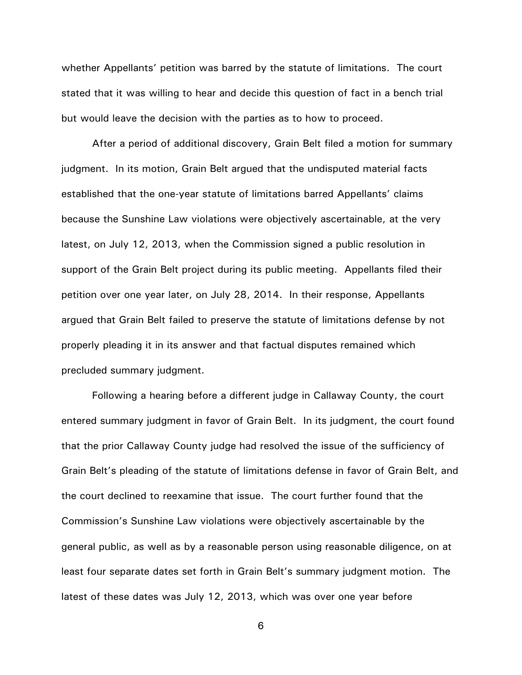whether Appellants' petition was barred by the statute of limitations. The court stated that it was willing to hear and decide this question of fact in a bench trial but would leave the decision with the parties as to how to proceed.

After a period of additional discovery, Grain Belt filed a motion for summary judgment. In its motion, Grain Belt argued that the undisputed material facts established that the one-year statute of limitations barred Appellants' claims because the Sunshine Law violations were objectively ascertainable, at the very latest, on July 12, 2013, when the Commission signed a public resolution in support of the Grain Belt project during its public meeting. Appellants filed their petition over one year later, on July 28, 2014. In their response, Appellants argued that Grain Belt failed to preserve the statute of limitations defense by not properly pleading it in its answer and that factual disputes remained which precluded summary judgment.

Following a hearing before a different judge in Callaway County, the court entered summary judgment in favor of Grain Belt. In its judgment, the court found that the prior Callaway County judge had resolved the issue of the sufficiency of Grain Belt's pleading of the statute of limitations defense in favor of Grain Belt, and the court declined to reexamine that issue. The court further found that the Commission's Sunshine Law violations were objectively ascertainable by the general public, as well as by a reasonable person using reasonable diligence, on at least four separate dates set forth in Grain Belt's summary judgment motion. The latest of these dates was July 12, 2013, which was over one year before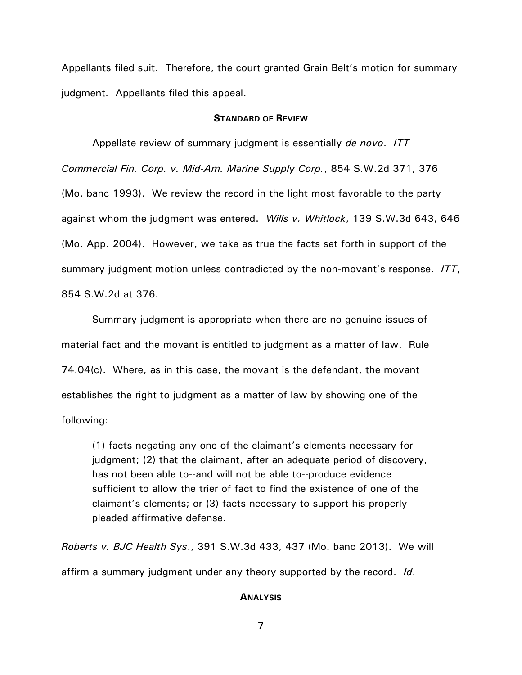Appellants filed suit. Therefore, the court granted Grain Belt's motion for summary judgment. Appellants filed this appeal.

#### *STANDARD OF REVIEW*

Appellate review of summary judgment is essentially *de novo*. *ITT Commercial Fin. Corp. v. Mid-Am. Marine Supply Corp.*, 854 S.W.2d 371, 376 (Mo. banc 1993). We review the record in the light most favorable to the party against whom the judgment was entered. *Wills v. Whitlock*, 139 S.W.3d 643, 646 (Mo. App. 2004). However, we take as true the facts set forth in support of the summary judgment motion unless contradicted by the non-movant's response. *ITT*, 854 S.W.2d at 376.

Summary judgment is appropriate when there are no genuine issues of material fact and the movant is entitled to judgment as a matter of law. Rule 74.04(c). Where, as in this case, the movant is the defendant, the movant establishes the right to judgment as a matter of law by showing one of the following:

(1) facts negating any one of the claimant's elements necessary for judgment; (2) that the claimant, after an adequate period of discovery, has not been able to--and will not be able to--produce evidence sufficient to allow the trier of fact to find the existence of one of the claimant's elements; or (3) facts necessary to support his properly pleaded affirmative defense.

*Roberts v. BJC Health Sys*., 391 S.W.3d 433, 437 (Mo. banc 2013). We will affirm a summary judgment under any theory supported by the record. *Id*.

#### *ANALYSIS*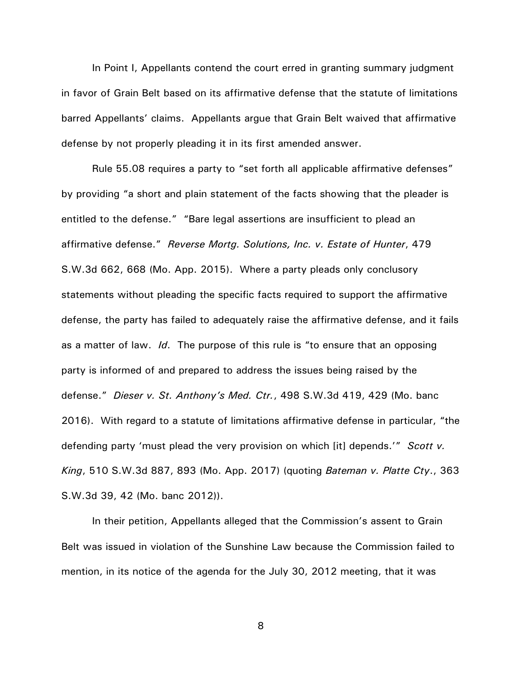In Point I, Appellants contend the court erred in granting summary judgment in favor of Grain Belt based on its affirmative defense that the statute of limitations barred Appellants' claims. Appellants argue that Grain Belt waived that affirmative defense by not properly pleading it in its first amended answer.

Rule 55.08 requires a party to "set forth all applicable affirmative defenses" by providing "a short and plain statement of the facts showing that the pleader is entitled to the defense." "Bare legal assertions are insufficient to plead an affirmative defense." *Reverse Mortg. Solutions, Inc. v. Estate of Hunter*, 479 S.W.3d 662, 668 (Mo. App. 2015). Where a party pleads only conclusory statements without pleading the specific facts required to support the affirmative defense, the party has failed to adequately raise the affirmative defense, and it fails as a matter of law. *Id*. The purpose of this rule is "to ensure that an opposing party is informed of and prepared to address the issues being raised by the defense." *Dieser v. St. Anthony's Med. Ctr.*, 498 S.W.3d 419, 429 (Mo. banc 2016). With regard to a statute of limitations affirmative defense in particular, "the defending party 'must plead the very provision on which [it] depends.'" *Scott v. King*, 510 S.W.3d 887, 893 (Mo. App. 2017) (quoting *Bateman v. Platte Cty*., 363 S.W.3d 39, 42 (Mo. banc 2012)).

In their petition, Appellants alleged that the Commission's assent to Grain Belt was issued in violation of the Sunshine Law because the Commission failed to mention, in its notice of the agenda for the July 30, 2012 meeting, that it was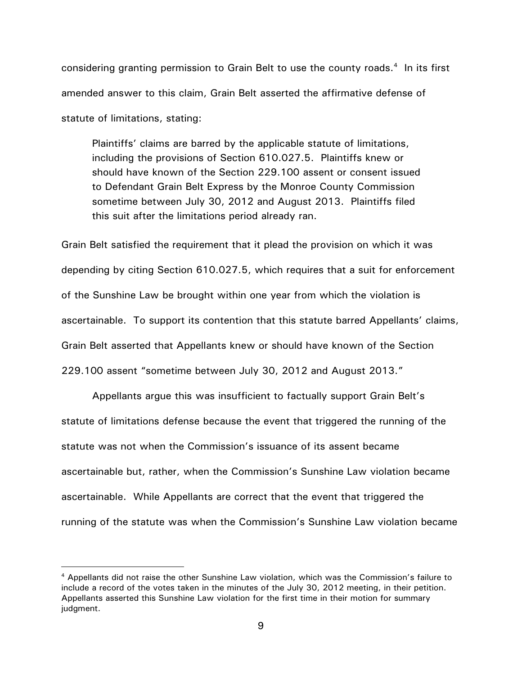considering granting permission to Grain Belt to use the county roads. $4$  In its first amended answer to this claim, Grain Belt asserted the affirmative defense of statute of limitations, stating:

Plaintiffs' claims are barred by the applicable statute of limitations, including the provisions of Section 610.027.5. Plaintiffs knew or should have known of the Section 229.100 assent or consent issued to Defendant Grain Belt Express by the Monroe County Commission sometime between July 30, 2012 and August 2013. Plaintiffs filed this suit after the limitations period already ran.

Grain Belt satisfied the requirement that it plead the provision on which it was depending by citing Section 610.027.5, which requires that a suit for enforcement of the Sunshine Law be brought within one year from which the violation is ascertainable. To support its contention that this statute barred Appellants' claims, Grain Belt asserted that Appellants knew or should have known of the Section 229.100 assent "sometime between July 30, 2012 and August 2013."

Appellants argue this was insufficient to factually support Grain Belt's statute of limitations defense because the event that triggered the running of the statute was not when the Commission's issuance of its assent became ascertainable but, rather, when the Commission's Sunshine Law violation became ascertainable. While Appellants are correct that the event that triggered the running of the statute was when the Commission's Sunshine Law violation became

<sup>4</sup> Appellants did not raise the other Sunshine Law violation, which was the Commission's failure to include a record of the votes taken in the minutes of the July 30, 2012 meeting, in their petition. Appellants asserted this Sunshine Law violation for the first time in their motion for summary judgment.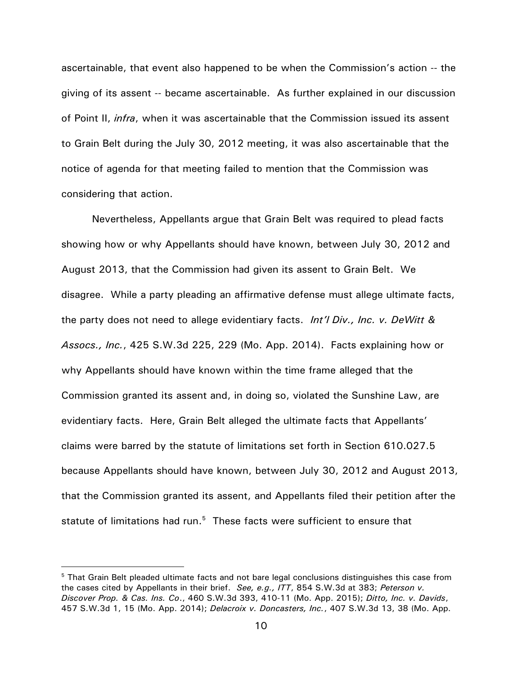ascertainable, that event also happened to be when the Commission's action -- the giving of its assent -- became ascertainable. As further explained in our discussion of Point II, *infra*, when it was ascertainable that the Commission issued its assent to Grain Belt during the July 30, 2012 meeting, it was also ascertainable that the notice of agenda for that meeting failed to mention that the Commission was considering that action.

Nevertheless, Appellants argue that Grain Belt was required to plead facts showing how or why Appellants should have known, between July 30, 2012 and August 2013, that the Commission had given its assent to Grain Belt. We disagree. While a party pleading an affirmative defense must allege ultimate facts, the party does not need to allege evidentiary facts. *Int'l Div., Inc. v. DeWitt & Assocs., Inc.*, 425 S.W.3d 225, 229 (Mo. App. 2014). Facts explaining how or why Appellants should have known within the time frame alleged that the Commission granted its assent and, in doing so, violated the Sunshine Law, are evidentiary facts. Here, Grain Belt alleged the ultimate facts that Appellants' claims were barred by the statute of limitations set forth in Section 610.027.5 because Appellants should have known, between July 30, 2012 and August 2013, that the Commission granted its assent, and Appellants filed their petition after the statute of limitations had run. $5$  These facts were sufficient to ensure that

<sup>&</sup>lt;sup>5</sup> That Grain Belt pleaded ultimate facts and not bare legal conclusions distinguishes this case from the cases cited by Appellants in their brief. *See, e.g., ITT*, 854 S.W.3d at 383; *Peterson v. Discover Prop. & Cas. Ins. Co*., 460 S.W.3d 393, 410-11 (Mo. App. 2015); *Ditto, Inc. v. Davids*, 457 S.W.3d 1, 15 (Mo. App. 2014); *Delacroix v. Doncasters, Inc.*, 407 S.W.3d 13, 38 (Mo. App.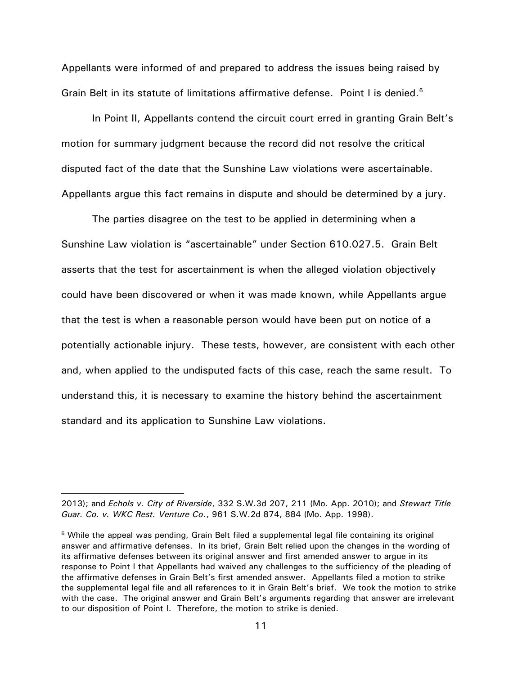Appellants were informed of and prepared to address the issues being raised by Grain Belt in its statute of limitations affirmative defense. Point I is denied.<sup>6</sup>

In Point II, Appellants contend the circuit court erred in granting Grain Belt's motion for summary judgment because the record did not resolve the critical disputed fact of the date that the Sunshine Law violations were ascertainable. Appellants argue this fact remains in dispute and should be determined by a jury.

The parties disagree on the test to be applied in determining when a Sunshine Law violation is "ascertainable" under Section 610.027.5. Grain Belt asserts that the test for ascertainment is when the alleged violation objectively could have been discovered or when it was made known, while Appellants argue that the test is when a reasonable person would have been put on notice of a potentially actionable injury. These tests, however, are consistent with each other and, when applied to the undisputed facts of this case, reach the same result. To understand this, it is necessary to examine the history behind the ascertainment standard and its application to Sunshine Law violations.

<sup>2013);</sup> and *Echols v. City of Riverside*, 332 S.W.3d 207, 211 (Mo. App. 2010); and *Stewart Title Guar. Co. v. WKC Rest. Venture Co*., 961 S.W.2d 874, 884 (Mo. App. 1998).

<sup>&</sup>lt;sup>6</sup> While the appeal was pending, Grain Belt filed a supplemental legal file containing its original answer and affirmative defenses. In its brief, Grain Belt relied upon the changes in the wording of its affirmative defenses between its original answer and first amended answer to argue in its response to Point I that Appellants had waived any challenges to the sufficiency of the pleading of the affirmative defenses in Grain Belt's first amended answer. Appellants filed a motion to strike the supplemental legal file and all references to it in Grain Belt's brief. We took the motion to strike with the case. The original answer and Grain Belt's arguments regarding that answer are irrelevant to our disposition of Point I. Therefore, the motion to strike is denied.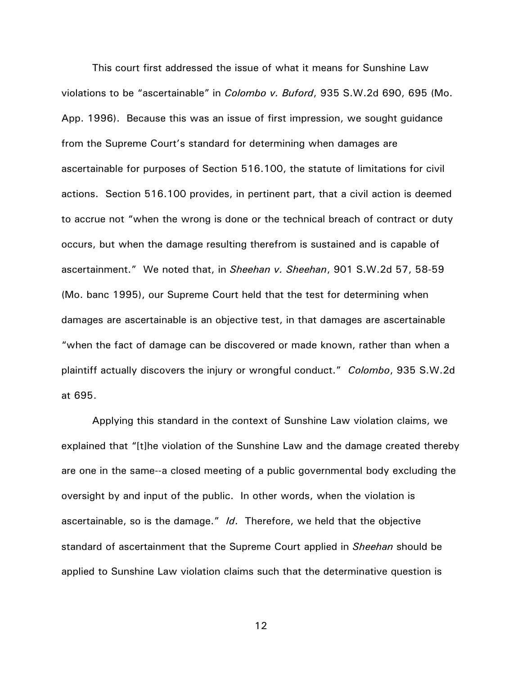This court first addressed the issue of what it means for Sunshine Law violations to be "ascertainable" in *Colombo v. Buford*, 935 S.W.2d 690, 695 (Mo. App. 1996). Because this was an issue of first impression, we sought guidance from the Supreme Court's standard for determining when damages are ascertainable for purposes of Section 516.100, the statute of limitations for civil actions. Section 516.100 provides, in pertinent part, that a civil action is deemed to accrue not "when the wrong is done or the technical breach of contract or duty occurs, but when the damage resulting therefrom is sustained and is capable of ascertainment." We noted that, in *Sheehan v. Sheehan*, 901 S.W.2d 57, 58-59 (Mo. banc 1995), our Supreme Court held that the test for determining when damages are ascertainable is an objective test, in that damages are ascertainable "when the fact of damage can be discovered or made known, rather than when a plaintiff actually discovers the injury or wrongful conduct." *Colombo*, 935 S.W.2d at 695.

Applying this standard in the context of Sunshine Law violation claims, we explained that "[t]he violation of the Sunshine Law and the damage created thereby are one in the same--a closed meeting of a public governmental body excluding the oversight by and input of the public. In other words, when the violation is ascertainable, so is the damage." *Id*. Therefore, we held that the objective standard of ascertainment that the Supreme Court applied in *Sheehan* should be applied to Sunshine Law violation claims such that the determinative question is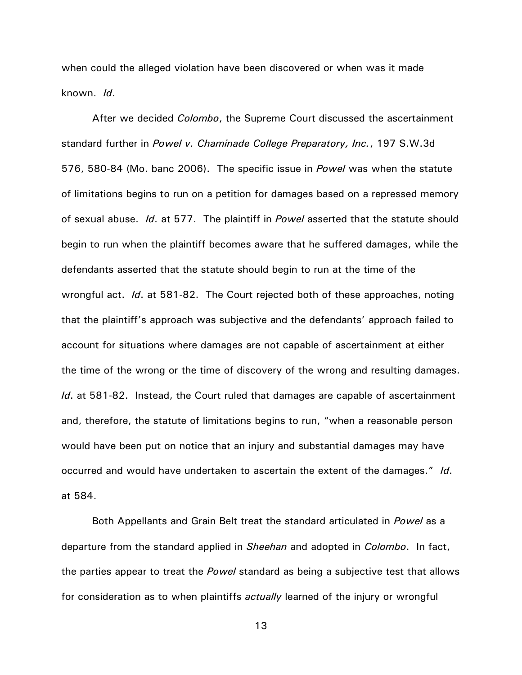when could the alleged violation have been discovered or when was it made known. *Id*.

After we decided *Colombo*, the Supreme Court discussed the ascertainment standard further in *Powel v. Chaminade College Preparatory, Inc.*, 197 S.W.3d 576, 580-84 (Mo. banc 2006). The specific issue in *Powel* was when the statute of limitations begins to run on a petition for damages based on a repressed memory of sexual abuse. *Id*. at 577. The plaintiff in *Powel* asserted that the statute should begin to run when the plaintiff becomes aware that he suffered damages, while the defendants asserted that the statute should begin to run at the time of the wrongful act. *Id*. at 581-82. The Court rejected both of these approaches, noting that the plaintiff's approach was subjective and the defendants' approach failed to account for situations where damages are not capable of ascertainment at either the time of the wrong or the time of discovery of the wrong and resulting damages. *Id*. at 581-82. Instead, the Court ruled that damages are capable of ascertainment and, therefore, the statute of limitations begins to run, "when a reasonable person would have been put on notice that an injury and substantial damages may have occurred and would have undertaken to ascertain the extent of the damages." *Id*. at 584.

Both Appellants and Grain Belt treat the standard articulated in *Powel* as a departure from the standard applied in *Sheehan* and adopted in *Colombo*. In fact, the parties appear to treat the *Powel* standard as being a subjective test that allows for consideration as to when plaintiffs *actually* learned of the injury or wrongful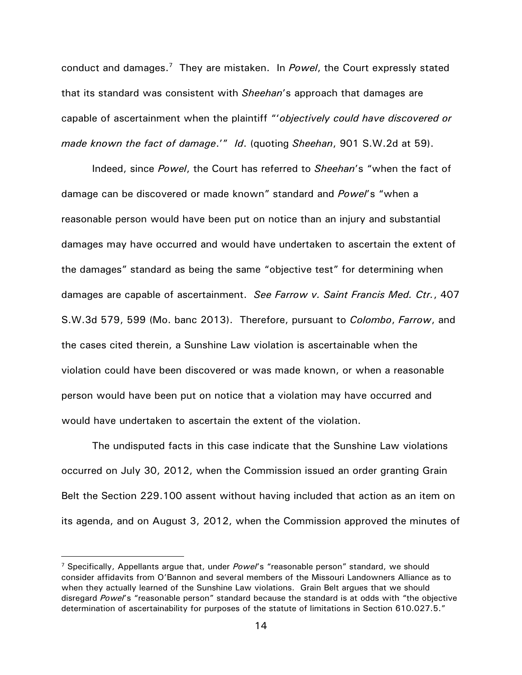conduct and damages.<sup>7</sup> They are mistaken. In *Powel*, the Court expressly stated that its standard was consistent with *Sheehan*'s approach that damages are capable of ascertainment when the plaintiff "'*objectively could have discovered or made known the fact of damage*.'" *Id*. (quoting *Sheehan*, 901 S.W.2d at 59).

Indeed, since *Powel*, the Court has referred to *Sheehan*'s "when the fact of damage can be discovered or made known" standard and *Powel*'s "when a reasonable person would have been put on notice than an injury and substantial damages may have occurred and would have undertaken to ascertain the extent of the damages" standard as being the same "objective test" for determining when damages are capable of ascertainment. *See Farrow v. Saint Francis Med. Ctr.*, 407 S.W.3d 579, 599 (Mo. banc 2013). Therefore, pursuant to *Colombo*, *Farrow*, and the cases cited therein, a Sunshine Law violation is ascertainable when the violation could have been discovered or was made known, or when a reasonable person would have been put on notice that a violation may have occurred and would have undertaken to ascertain the extent of the violation.

The undisputed facts in this case indicate that the Sunshine Law violations occurred on July 30, 2012, when the Commission issued an order granting Grain Belt the Section 229.100 assent without having included that action as an item on its agenda, and on August 3, 2012, when the Commission approved the minutes of

<sup>7</sup> Specifically, Appellants argue that, under *Powel*'s "reasonable person" standard, we should consider affidavits from O'Bannon and several members of the Missouri Landowners Alliance as to when they actually learned of the Sunshine Law violations. Grain Belt argues that we should disregard *Powel*'s "reasonable person" standard because the standard is at odds with "the objective determination of ascertainability for purposes of the statute of limitations in Section 610.027.5."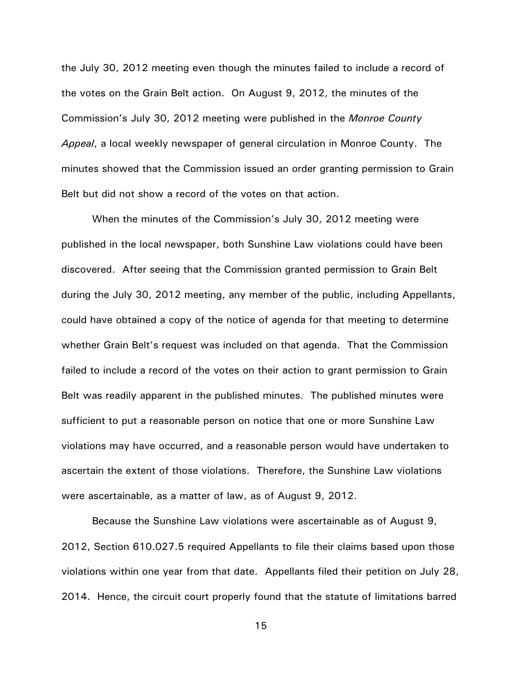the July 30, 2012 meeting even though the minutes failed to include a record of the votes on the Grain Belt action. On August 9, 2012, the minutes of the Commission's July 30, 2012 meeting were published in the *Monroe County Appeal*, a local weekly newspaper of general circulation in Monroe County. The minutes showed that the Commission issued an order granting permission to Grain Belt but did not show a record of the votes on that action.

When the minutes of the Commission's July 30, 2012 meeting were published in the local newspaper, both Sunshine Law violations could have been discovered. After seeing that the Commission granted permission to Grain Belt during the July 30, 2012 meeting, any member of the public, including Appellants, could have obtained a copy of the notice of agenda for that meeting to determine whether Grain Belt's request was included on that agenda. That the Commission failed to include a record of the votes on their action to grant permission to Grain Belt was readily apparent in the published minutes. The published minutes were sufficient to put a reasonable person on notice that one or more Sunshine Law violations may have occurred, and a reasonable person would have undertaken to ascertain the extent of those violations. Therefore, the Sunshine Law violations were ascertainable, as a matter of law, as of August 9, 2012.

Because the Sunshine Law violations were ascertainable as of August 9, 2012, Section 610.027.5 required Appellants to file their claims based upon those violations within one year from that date. Appellants filed their petition on July 28, 2014. Hence, the circuit court properly found that the statute of limitations barred